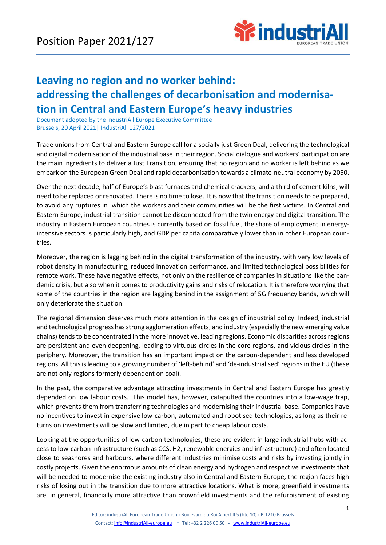

## **Leaving no region and no worker behind: addressing the challenges of decarbonisation and modernisation in Central and Eastern Europe's heavy industries**

Document adopted by the industriAll Europe Executive Committee Brussels, 20 April 2021| IndustriAll 127/2021

Trade unions from Central and Eastern Europe call for a socially just Green Deal, delivering the technological and digital modernisation of the industrial base in their region. Social dialogue and workers' participation are the main ingredients to deliver a Just Transition, ensuring that no region and no worker is left behind as we embark on the European Green Deal and rapid decarbonisation towards a climate-neutral economy by 2050.

Over the next decade, half of Europe's blast furnaces and chemical crackers, and a third of cement kilns, will need to be replaced or renovated. There is no time to lose. It is now that the transition needs to be prepared, to avoid any ruptures in which the workers and their communities will be the first victims. In Central and Eastern Europe, industrial transition cannot be disconnected from the twin energy and digital transition. The industry in Eastern European countries is currently based on fossil fuel, the share of employment in energyintensive sectors is particularly high, and GDP per capita comparatively lower than in other European countries.

Moreover, the region is lagging behind in the digital transformation of the industry, with very low levels of robot density in manufacturing, reduced innovation performance, and limited technological possibilities for remote work. These have negative effects, not only on the resilience of companies in situations like the pandemic crisis, but also when it comes to productivity gains and risks of relocation. It is therefore worrying that some of the countries in the region are lagging behind in the assignment of 5G frequency bands, which will only deteriorate the situation.

The regional dimension deserves much more attention in the design of industrial policy. Indeed, industrial and technological progress has strong agglomeration effects, and industry (especially the new emerging value chains) tends to be concentrated in the more innovative, leading regions. Economic disparities across regions are persistent and even deepening, leading to virtuous circles in the core regions, and vicious circles in the periphery. Moreover, the transition has an important impact on the carbon-dependent and less developed regions. All this is leading to a growing number of 'left-behind' and 'de-industrialised' regions in the EU (these are not only regions formerly dependent on coal).

In the past, the comparative advantage attracting investments in Central and Eastern Europe has greatly depended on low labour costs. This model has, however, catapulted the countries into a low-wage trap, which prevents them from transferring technologies and modernising their industrial base. Companies have no incentives to invest in expensive low-carbon, automated and robotised technologies, as long as their returns on investments will be slow and limited, due in part to cheap labour costs.

Looking at the opportunities of low-carbon technologies, these are evident in large industrial hubs with access to low-carbon infrastructure (such as CCS, H2, renewable energies and infrastructure) and often located close to seashores and harbours, where different industries minimise costs and risks by investing jointly in costly projects. Given the enormous amounts of clean energy and hydrogen and respective investments that will be needed to modernise the existing industry also in Central and Eastern Europe, the region faces high risks of losing out in the transition due to more attractive locations. What is more, greenfield investments are, in general, financially more attractive than brownfield investments and the refurbishment of existing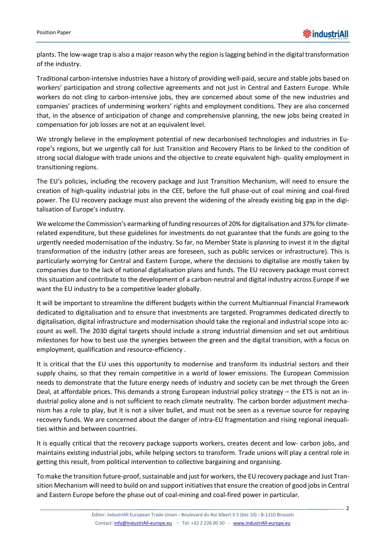plants. The low-wage trap is also a major reason why the region is lagging behind in the digital transformation of the industry.

Traditional carbon-intensive industries have a history of providing well-paid, secure and stable jobs based on workers' participation and strong collective agreements and not just in Central and Eastern Europe. While workers do not cling to carbon-intensive jobs, they are concerned about some of the new industries and companies' practices of undermining workers' rights and employment conditions. They are also concerned that, in the absence of anticipation of change and comprehensive planning, the new jobs being created in compensation for job losses are not at an equivalent level.

We strongly believe in the employment potential of new decarbonised technologies and industries in Europe's regions, but we urgently call for Just Transition and Recovery Plans to be linked to the condition of strong social dialogue with trade unions and the objective to create equivalent high- quality employment in transitioning regions.

The EU's policies, including the recovery package and Just Transition Mechanism, will need to ensure the creation of high-quality industrial jobs in the CEE, before the full phase-out of coal mining and coal-fired power. The EU recovery package must also prevent the widening of the already existing big gap in the digitalisation of Europe's industry.

We welcome the Commission's earmarking of funding resources of 20% for digitalisation and 37% for climaterelated expenditure, but these guidelines for investments do not guarantee that the funds are going to the urgently needed modernisation of the industry. So far, no Member State is planning to invest it in the digital transformation of the industry (other areas are foreseen, such as public services or infrastructure). This is particularly worrying for Central and Eastern Europe, where the decisions to digitalise are mostly taken by companies due to the lack of national digitalisation plans and funds. The EU recovery package must correct this situation and contribute to the development of a carbon-neutral and digital industry across Europe if we want the EU industry to be a competitive leader globally.

It will be important to streamline the different budgets within the current Multiannual Financial Framework dedicated to digitalisation and to ensure that investments are targeted. Programmes dedicated directly to digitalisation, digital infrastructure and modernisation should take the regional and industrial scope into account as well. The 2030 digital targets should include a strong industrial dimension and set out ambitious milestones for how to best use the synergies between the green and the digital transition, with a focus on employment, qualification and resource-efficiency .

It is critical that the EU uses this opportunity to modernise and transform its industrial sectors and their supply chains, so that they remain competitive in a world of lower emissions. The European Commission needs to demonstrate that the future energy needs of industry and society can be met through the Green Deal, at affordable prices. This demands a strong European industrial policy strategy – the ETS is not an industrial policy alone and is not sufficient to reach climate neutrality. The carbon border adjustment mechanism has a role to play, but it is not a silver bullet, and must not be seen as a revenue source for repaying recovery funds. We are concerned about the danger of intra-EU fragmentation and rising regional inequalities within and between countries.

It is equally critical that the recovery package supports workers, creates decent and low- carbon jobs, and maintains existing industrial jobs, while helping sectors to transform. Trade unions will play a central role in getting this result, from political intervention to collective bargaining and organising.

To make the transition future-proof, sustainable and just for workers, the EU recovery package and Just Transition Mechanism will need to build on and support initiatives that ensure the creation of good jobs in Central and Eastern Europe before the phase out of coal-mining and coal-fired power in particular.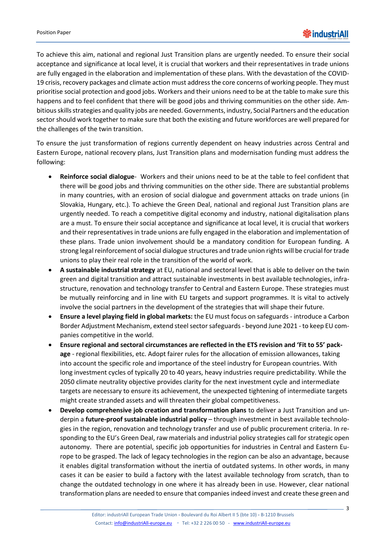To achieve this aim, national and regional Just Transition plans are urgently needed. To ensure their social acceptance and significance at local level, it is crucial that workers and their representatives in trade unions are fully engaged in the elaboration and implementation of these plans. With the devastation of the COVID-19 crisis, recovery packages and climate action must address the core concerns of working people. They must prioritise social protection and good jobs. Workers and their unions need to be at the table to make sure this happens and to feel confident that there will be good jobs and thriving communities on the other side. Ambitious skills strategies and quality jobs are needed. Governments, industry, Social Partners and the education sector should work together to make sure that both the existing and future workforces are well prepared for the challenges of the twin transition.

To ensure the just transformation of regions currently dependent on heavy industries across Central and Eastern Europe, national recovery plans, Just Transition plans and modernisation funding must address the following:

- **Reinforce social dialogue** Workers and their unions need to be at the table to feel confident that there will be good jobs and thriving communities on the other side. There are substantial problems in many countries, with an erosion of social dialogue and government attacks on trade unions (in Slovakia, Hungary, etc.). To achieve the Green Deal, national and regional Just Transition plans are urgently needed. To reach a competitive digital economy and industry, national digitalisation plans are a must. To ensure their social acceptance and significance at local level, it is crucial that workers and their representatives in trade unions are fully engaged in the elaboration and implementation of these plans. Trade union involvement should be a mandatory condition for European funding. A strong legal reinforcement of social dialogue structures and trade union rights will be crucial for trade unions to play their real role in the transition of the world of work.
- **A sustainable industrial strategy** at EU, national and sectoral level that is able to deliver on the twin green and digital transition and attract sustainable investments in best available technologies, infrastructure, renovation and technology transfer to Central and Eastern Europe. These strategies must be mutually reinforcing and in line with EU targets and support programmes. It is vital to actively involve the social partners in the development of the strategies that will shape their future.
- **Ensure a level playing field in global markets:** the EU must focus on safeguards introduce a Carbon Border Adjustment Mechanism, extend steel sector safeguards - beyond June 2021 - to keep EU companies competitive in the world.
- **Ensure regional and sectoral circumstances are reflected in the ETS revision and 'Fit to 55' package** - regional flexibilities, etc. Adopt fairer rules for the allocation of emission allowances, taking into account the specific role and importance of the steel industry for European countries. With long investment cycles of typically 20 to 40 years, heavy industries require predictability. While the 2050 climate neutrality objective provides clarity for the next investment cycle and intermediate targets are necessary to ensure its achievement, the unexpected tightening of intermediate targets might create stranded assets and will threaten their global competitiveness.
- **Develop comprehensive job creation and transformation plans** to deliver a Just Transition and underpin a **future-proof sustainable industrial policy** – through investment in best available technologies in the region, renovation and technology transfer and use of public procurement criteria. In responding to the EU's Green Deal, raw materials and industrial policy strategies call for strategic open autonomy. There are potential, specific job opportunities for industries in Central and Eastern Europe to be grasped. The lack of legacy technologies in the region can be also an advantage, because it enables digital transformation without the inertia of outdated systems. In other words, in many cases it can be easier to build a factory with the latest available technology from scratch, than to change the outdated technology in one where it has already been in use. However, clear national transformation plans are needed to ensure that companies indeed invest and create these green and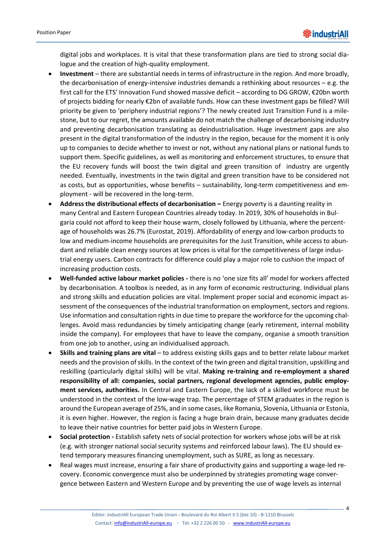digital jobs and workplaces. It is vital that these transformation plans are tied to strong social dialogue and the creation of high-quality employment.

- **Investment**  there are substantial needs in terms of infrastructure in the region. And more broadly, the decarbonisation of energy-intensive industries demands a rethinking about resources  $-e.g.$  the first call for the ETS' Innovation Fund showed massive deficit – according to DG GROW, €20bn worth of projects bidding for nearly €2bn of available funds. How can these investment gaps be filled? Will priority be given to 'periphery industrial regions'? The newly created Just Transition Fund is a milestone, but to our regret, the amounts available do not match the challenge of decarbonising industry and preventing decarbonisation translating as deindustrialisation. Huge investment gaps are also present in the digital transformation of the industry in the region, because for the moment it is only up to companies to decide whether to invest or not, without any national plans or national funds to support them. Specific guidelines, as well as monitoring and enforcement structures, to ensure that the EU recovery funds will boost the twin digital and green transition of industry are urgently needed. Eventually, investments in the twin digital and green transition have to be considered not as costs, but as opportunities, whose benefits – sustainability, long-term competitiveness and employment - will be recovered in the long-term.
- **Address the distributional effects of decarbonisation –** Energy poverty is a daunting reality in many Central and Eastern European Countries already today. In 2019, 30% of households in Bulgaria could not afford to keep their house warm, closely followed by Lithuania, where the percentage of households was 26.7% (Eurostat, 2019). Affordability of energy and low-carbon products to low and medium-income households are prerequisites for the Just Transition, while access to abundant and reliable clean energy sources at low prices is vital for the competitiveness of large industrial energy users. Carbon contracts for difference could play a major role to cushion the impact of increasing production costs.
- **Well-funded active labour market policies -** there is no 'one size fits all' model for workers affected by decarbonisation. A toolbox is needed, as in any form of economic restructuring. Individual plans and strong skills and education policies are vital. Implement proper social and economic impact assessment of the consequences of the industrial transformation on employment, sectors and regions. Use information and consultation rights in due time to prepare the workforce for the upcoming challenges. Avoid mass redundancies by timely anticipating change (early retirement, internal mobility inside the company). For employees that have to leave the company, organise a smooth transition from one job to another, using an individualised approach.
- **Skills and training plans are vital** to address existing skills gaps and to better relate labour market needs and the provision of skills. In the context of the twin green and digital transition, upskilling and reskilling (particularly digital skills) will be vital. **Making re-training and re-employment a shared responsibility of all: companies, social partners, regional development agencies, public employment services, authorities.** In Central and Eastern Europe, the lack of a skilled workforce must be understood in the context of the low-wage trap. The percentage of STEM graduates in the region is around the European average of 25%, and in some cases, like Romania, Slovenia, Lithuania or Estonia, it is even higher. However, the region is facing a huge brain drain, because many graduates decide to leave their native countries for better paid jobs in Western Europe.
- **Social protection -** Establish safety nets of social protection for workers whose jobs will be at risk (e.g. with stronger national social security systems and reinforced labour laws). The EU should extend temporary measures financing unemployment, such as SURE, as long as necessary.
- Real wages must increase, ensuring a fair share of productivity gains and supporting a wage-led recovery. Economic convergence must also be underpinned by strategies promoting wage convergence between Eastern and Western Europe and by preventing the use of wage levels as internal